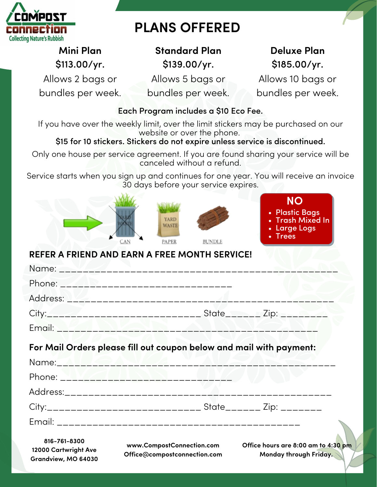

# **PLANS OFFERED**

**Mini Plan** \$113.00/yr.

Allows 2 bags or bundles per week. **Standard Plan** \$139.00/yr.

**Deluxe Plan** \$185.00/yr.

Allows 5 bags or bundles per week.

Allows 10 bags or bundles per week.

### Each Program includes a \$10 Eco Fee.

If you have over the weekly limit, over the limit stickers may be purchased on our website or over the phone.

## \$15 for 10 stickers. Stickers do not expire unless service is discontinued.

Only one house per service agreement. If you are found sharing your service will be canceled without a refund.

Service starts when you sign up and continues for one year. You will receive an invoice 30 days before your service expires.



# **REFER A FRIEND AND EARN A FREE MONTH SERVICE!**

| 816-761-8300 | www.CompostConnection.com Office hours are $8:00$ am to $4:30$ pr   |  |
|--------------|---------------------------------------------------------------------|--|
|              |                                                                     |  |
|              |                                                                     |  |
|              |                                                                     |  |
|              |                                                                     |  |
|              |                                                                     |  |
|              | For Mail Orders please fill out coupon below and mail with payment: |  |
|              |                                                                     |  |
|              |                                                                     |  |
|              |                                                                     |  |
|              |                                                                     |  |
|              |                                                                     |  |

**12000 Cartwright Ave Grandview, MO 64030**

**www.CompostConnection.com Office@compostconnection.com** **Office hours are 8:00 am to 4:30 pm Monday through Friday.**